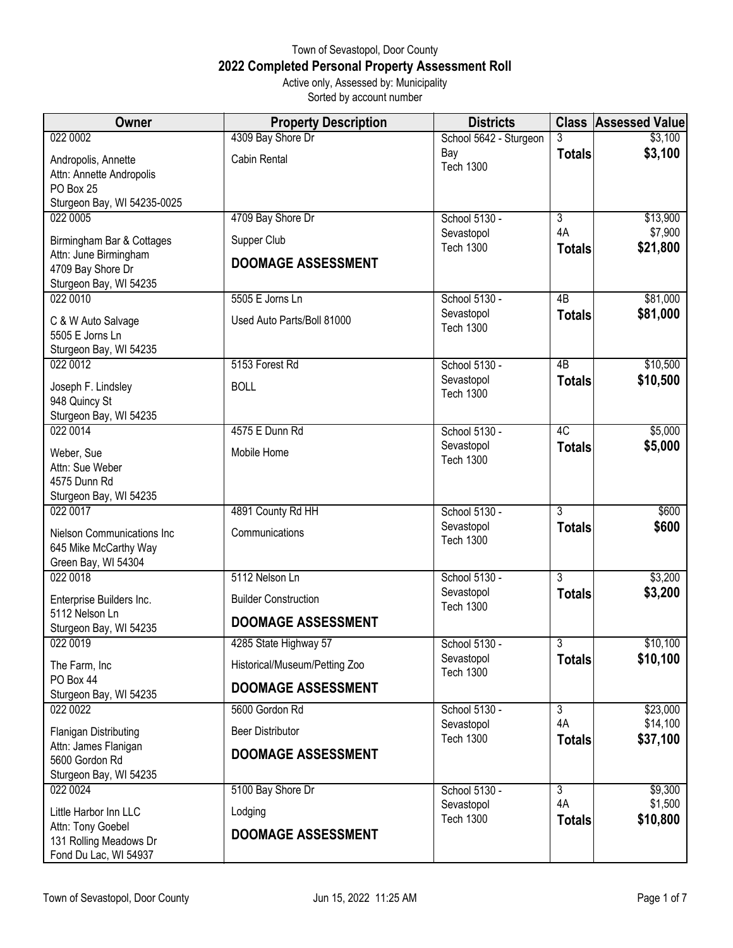## Town of Sevastopol, Door County **2022 Completed Personal Property Assessment Roll** Active only, Assessed by: Municipality

Sorted by account number

| <b>Owner</b>                                    | <b>Property Description</b>   | <b>Districts</b>               |                     | <b>Class Assessed Value</b> |
|-------------------------------------------------|-------------------------------|--------------------------------|---------------------|-----------------------------|
| 022 0002                                        | 4309 Bay Shore Dr             | School 5642 - Sturgeon         |                     | \$3,100                     |
| Andropolis, Annette                             | Cabin Rental                  | Bay<br><b>Tech 1300</b>        | <b>Totals</b>       | \$3,100                     |
| Attn: Annette Andropolis<br>PO Box 25           |                               |                                |                     |                             |
| Sturgeon Bay, WI 54235-0025                     |                               |                                |                     |                             |
| 022 0005                                        | 4709 Bay Shore Dr             | School 5130 -                  | $\overline{3}$      | \$13,900                    |
| Birmingham Bar & Cottages                       | Supper Club                   | Sevastopol<br><b>Tech 1300</b> | 4A                  | \$7,900                     |
| Attn: June Birmingham                           | <b>DOOMAGE ASSESSMENT</b>     |                                | <b>Totals</b>       | \$21,800                    |
| 4709 Bay Shore Dr<br>Sturgeon Bay, WI 54235     |                               |                                |                     |                             |
| 022 0010                                        | 5505 E Jorns Ln               | School 5130 -                  | $\overline{AB}$     | \$81,000                    |
| C & W Auto Salvage                              | Used Auto Parts/Boll 81000    | Sevastopol                     | <b>Totals</b>       | \$81,000                    |
| 5505 E Jorns Ln                                 |                               | <b>Tech 1300</b>               |                     |                             |
| Sturgeon Bay, WI 54235<br>022 0012              | 5153 Forest Rd                | School 5130 -                  | $\overline{AB}$     | \$10,500                    |
|                                                 |                               | Sevastopol                     | <b>Totals</b>       | \$10,500                    |
| Joseph F. Lindsley<br>948 Quincy St             | <b>BOLL</b>                   | <b>Tech 1300</b>               |                     |                             |
| Sturgeon Bay, WI 54235                          |                               |                                |                     |                             |
| 022 0014                                        | 4575 E Dunn Rd                | School 5130 -                  | 4C                  | \$5,000                     |
| Weber, Sue                                      | Mobile Home                   | Sevastopol<br><b>Tech 1300</b> | <b>Totals</b>       | \$5,000                     |
| Attn: Sue Weber<br>4575 Dunn Rd                 |                               |                                |                     |                             |
| Sturgeon Bay, WI 54235                          |                               |                                |                     |                             |
| 022 0017                                        | 4891 County Rd HH             | School 5130 -                  | 3                   | \$600                       |
| Nielson Communications Inc                      | Communications                | Sevastopol<br><b>Tech 1300</b> | <b>Totals</b>       | \$600                       |
| 645 Mike McCarthy Way                           |                               |                                |                     |                             |
| Green Bay, WI 54304<br>022 0018                 | 5112 Nelson Ln                | School 5130 -                  | $\overline{3}$      | \$3,200                     |
|                                                 | <b>Builder Construction</b>   | Sevastopol                     | <b>Totals</b>       | \$3,200                     |
| Enterprise Builders Inc.<br>5112 Nelson Ln      |                               | <b>Tech 1300</b>               |                     |                             |
| Sturgeon Bay, WI 54235                          | <b>DOOMAGE ASSESSMENT</b>     |                                |                     |                             |
| 022 0019                                        | 4285 State Highway 57         | School 5130 -                  | $\overline{3}$      | \$10,100                    |
| The Farm, Inc                                   | Historical/Museum/Petting Zoo | Sevastopol<br><b>Tech 1300</b> | <b>Totals</b>       | \$10,100                    |
| PO Box 44<br>Sturgeon Bay, WI 54235             | <b>DOOMAGE ASSESSMENT</b>     |                                |                     |                             |
| 022 0022                                        | 5600 Gordon Rd                | School 5130 -                  | $\overline{3}$      | \$23,000                    |
| <b>Flanigan Distributing</b>                    | <b>Beer Distributor</b>       | Sevastopol<br><b>Tech 1300</b> | 4A<br><b>Totals</b> | \$14,100<br>\$37,100        |
| Attn: James Flanigan                            | <b>DOOMAGE ASSESSMENT</b>     |                                |                     |                             |
| 5600 Gordon Rd<br>Sturgeon Bay, WI 54235        |                               |                                |                     |                             |
| 022 0024                                        | 5100 Bay Shore Dr             | School 5130 -                  | $\overline{3}$      | \$9,300                     |
| Little Harbor Inn LLC                           | Lodging                       | Sevastopol                     | 4A                  | \$1,500                     |
| Attn: Tony Goebel                               | <b>DOOMAGE ASSESSMENT</b>     | <b>Tech 1300</b>               | <b>Totals</b>       | \$10,800                    |
| 131 Rolling Meadows Dr<br>Fond Du Lac, WI 54937 |                               |                                |                     |                             |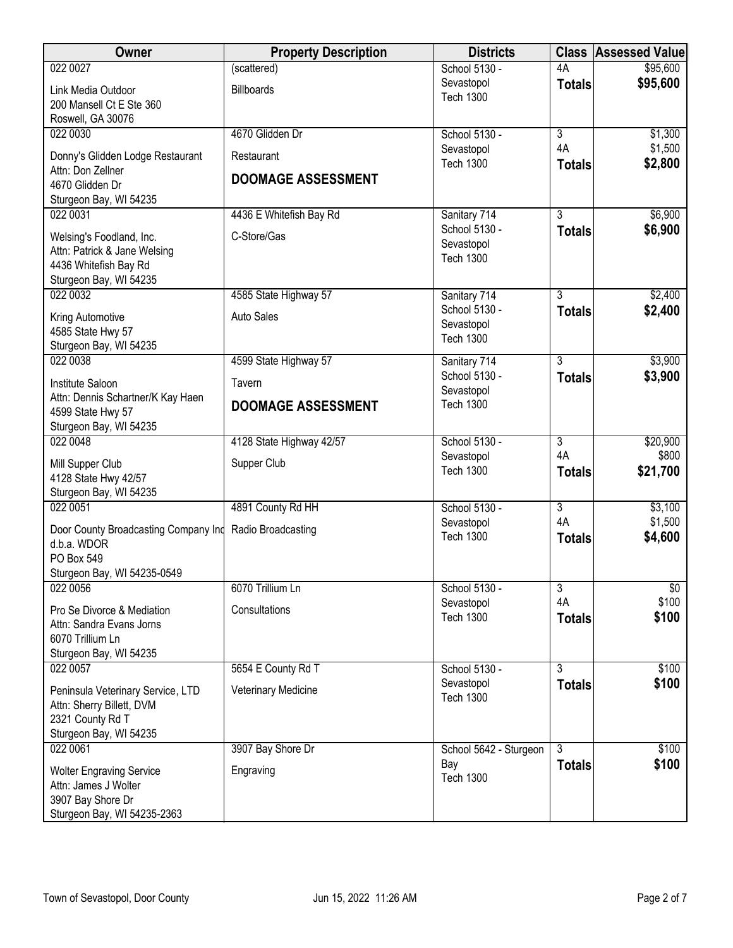| Owner                                               | <b>Property Description</b> | <b>Districts</b>               | <b>Class</b>              | <b>Assessed Value</b> |
|-----------------------------------------------------|-----------------------------|--------------------------------|---------------------------|-----------------------|
| 022 0027                                            | (scattered)                 | School 5130 -                  | 4A                        | \$95,600              |
| Link Media Outdoor                                  | <b>Billboards</b>           | Sevastopol                     | <b>Totals</b>             | \$95,600              |
| 200 Mansell Ct E Ste 360                            |                             | <b>Tech 1300</b>               |                           |                       |
| Roswell, GA 30076                                   |                             |                                |                           |                       |
| 022 0030                                            | 4670 Glidden Dr             | School 5130 -                  | $\overline{3}$            | \$1,300               |
| Donny's Glidden Lodge Restaurant                    | Restaurant                  | Sevastopol<br><b>Tech 1300</b> | 4A                        | \$1,500               |
| Attn: Don Zellner                                   | <b>DOOMAGE ASSESSMENT</b>   |                                | <b>Totals</b>             | \$2,800               |
| 4670 Glidden Dr                                     |                             |                                |                           |                       |
| Sturgeon Bay, WI 54235                              |                             |                                |                           |                       |
| 022 0031                                            | 4436 E Whitefish Bay Rd     | Sanitary 714<br>School 5130 -  | 3                         | \$6,900               |
| Welsing's Foodland, Inc.                            | C-Store/Gas                 | Sevastopol                     | <b>Totals</b>             | \$6,900               |
| Attn: Patrick & Jane Welsing                        |                             | <b>Tech 1300</b>               |                           |                       |
| 4436 Whitefish Bay Rd                               |                             |                                |                           |                       |
| Sturgeon Bay, WI 54235<br>022 0032                  | 4585 State Highway 57       | Sanitary 714                   | 3                         | \$2,400               |
|                                                     |                             | School 5130 -                  | <b>Totals</b>             | \$2,400               |
| Kring Automotive                                    | <b>Auto Sales</b>           | Sevastopol                     |                           |                       |
| 4585 State Hwy 57                                   |                             | <b>Tech 1300</b>               |                           |                       |
| Sturgeon Bay, WI 54235<br>022 0038                  | 4599 State Highway 57       | Sanitary 714                   | $\overline{3}$            | \$3,900               |
|                                                     |                             | School 5130 -                  | <b>Totals</b>             | \$3,900               |
| Institute Saloon                                    | Tavern                      | Sevastopol                     |                           |                       |
| Attn: Dennis Schartner/K Kay Haen                   | <b>DOOMAGE ASSESSMENT</b>   | <b>Tech 1300</b>               |                           |                       |
| 4599 State Hwy 57<br>Sturgeon Bay, WI 54235         |                             |                                |                           |                       |
| 022 0048                                            | 4128 State Highway 42/57    | School 5130 -                  | $\overline{3}$            | \$20,900              |
|                                                     |                             | Sevastopol                     | 4A                        | \$800                 |
| Mill Supper Club                                    | Supper Club                 | <b>Tech 1300</b>               | <b>Totals</b>             | \$21,700              |
| 4128 State Hwy 42/57<br>Sturgeon Bay, WI 54235      |                             |                                |                           |                       |
| 022 0051                                            | 4891 County Rd HH           | School 5130 -                  | $\overline{\overline{3}}$ | \$3,100               |
|                                                     |                             | Sevastopol                     | 4A                        | \$1,500               |
| Door County Broadcasting Company Ind<br>d.b.a. WDOR | Radio Broadcasting          | <b>Tech 1300</b>               | <b>Totals</b>             | \$4,600               |
| PO Box 549                                          |                             |                                |                           |                       |
| Sturgeon Bay, WI 54235-0549                         |                             |                                |                           |                       |
| 022 0056                                            | 6070 Trillium Ln            | School 5130 -                  | 3                         | \$0                   |
| Pro Se Divorce & Mediation                          | Consultations               | Sevastopol                     | 4A                        | \$100                 |
| Attn: Sandra Evans Jorns                            |                             | <b>Tech 1300</b>               | <b>Totals</b>             | \$100                 |
| 6070 Trillium Ln                                    |                             |                                |                           |                       |
| Sturgeon Bay, WI 54235                              |                             |                                |                           |                       |
| 022 0057                                            | 5654 E County Rd T          | School 5130 -                  | $\overline{3}$            | \$100                 |
| Peninsula Veterinary Service, LTD                   | Veterinary Medicine         | Sevastopol                     | <b>Totals</b>             | \$100                 |
| Attn: Sherry Billett, DVM                           |                             | <b>Tech 1300</b>               |                           |                       |
| 2321 County Rd T                                    |                             |                                |                           |                       |
| Sturgeon Bay, WI 54235                              |                             |                                |                           |                       |
| 022 0061                                            | 3907 Bay Shore Dr           | School 5642 - Sturgeon         | 3                         | \$100                 |
| <b>Wolter Engraving Service</b>                     | Engraving                   | Bay                            | <b>Totals</b>             | \$100                 |
| Attn: James J Wolter                                |                             | <b>Tech 1300</b>               |                           |                       |
| 3907 Bay Shore Dr                                   |                             |                                |                           |                       |
| Sturgeon Bay, WI 54235-2363                         |                             |                                |                           |                       |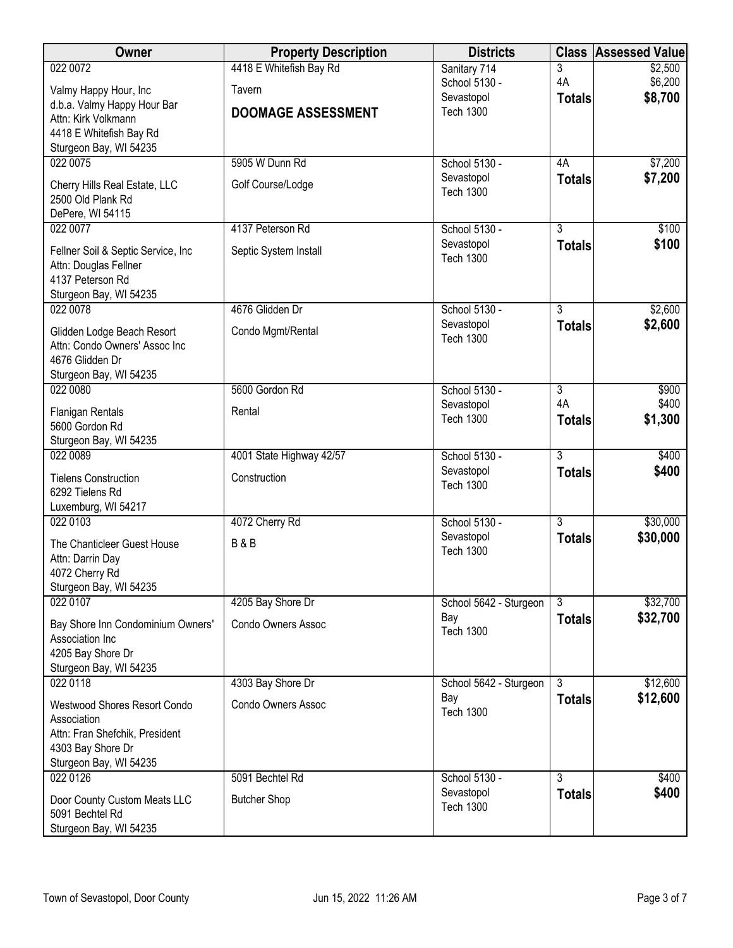| <b>Owner</b>                                | <b>Property Description</b> | <b>Districts</b>               |                      | <b>Class Assessed Value</b> |
|---------------------------------------------|-----------------------------|--------------------------------|----------------------|-----------------------------|
| 022 0072                                    | 4418 E Whitefish Bay Rd     | Sanitary 714                   | 3                    | \$2,500                     |
| Valmy Happy Hour, Inc                       | Tavern                      | School 5130 -                  | 4A                   | \$6,200                     |
| d.b.a. Valmy Happy Hour Bar                 |                             | Sevastopol                     | <b>Totals</b>        | \$8,700                     |
| Attn: Kirk Volkmann                         | <b>DOOMAGE ASSESSMENT</b>   | <b>Tech 1300</b>               |                      |                             |
| 4418 E Whitefish Bay Rd                     |                             |                                |                      |                             |
| Sturgeon Bay, WI 54235                      |                             |                                |                      |                             |
| 022 0075                                    | 5905 W Dunn Rd              | School 5130 -                  | 4A                   | \$7,200                     |
| Cherry Hills Real Estate, LLC               | Golf Course/Lodge           | Sevastopol<br><b>Tech 1300</b> | <b>Totals</b>        | \$7,200                     |
| 2500 Old Plank Rd                           |                             |                                |                      |                             |
| DePere, WI 54115                            |                             |                                |                      |                             |
| 022 0077                                    | 4137 Peterson Rd            | School 5130 -                  | $\overline{3}$       | \$100                       |
| Fellner Soil & Septic Service, Inc.         | Septic System Install       | Sevastopol                     | <b>Totals</b>        | \$100                       |
| Attn: Douglas Fellner                       |                             | <b>Tech 1300</b>               |                      |                             |
| 4137 Peterson Rd                            |                             |                                |                      |                             |
| Sturgeon Bay, WI 54235                      |                             |                                |                      |                             |
| 022 0078                                    | 4676 Glidden Dr             | School 5130 -                  | $\overline{3}$       | \$2,600                     |
| Glidden Lodge Beach Resort                  | Condo Mgmt/Rental           | Sevastopol<br><b>Tech 1300</b> | <b>Totals</b>        | \$2,600                     |
| Attn: Condo Owners' Assoc Inc               |                             |                                |                      |                             |
| 4676 Glidden Dr                             |                             |                                |                      |                             |
| Sturgeon Bay, WI 54235                      |                             |                                |                      |                             |
| 022 0080                                    | 5600 Gordon Rd              | School 5130 -                  | $\overline{3}$<br>4A | \$900                       |
| <b>Flanigan Rentals</b>                     | Rental                      | Sevastopol<br><b>Tech 1300</b> |                      | \$400<br>\$1,300            |
| 5600 Gordon Rd                              |                             |                                | <b>Totals</b>        |                             |
| Sturgeon Bay, WI 54235                      |                             |                                |                      |                             |
| 022 0089                                    | 4001 State Highway 42/57    | School 5130 -                  | $\overline{3}$       | \$400                       |
| <b>Tielens Construction</b>                 | Construction                | Sevastopol<br><b>Tech 1300</b> | <b>Totals</b>        | \$400                       |
| 6292 Tielens Rd                             |                             |                                |                      |                             |
| Luxemburg, WI 54217                         |                             |                                |                      |                             |
| 022 0103                                    | 4072 Cherry Rd              | School 5130 -                  | $\overline{3}$       | \$30,000                    |
| The Chanticleer Guest House                 | <b>B&amp;B</b>              | Sevastopol<br><b>Tech 1300</b> | <b>Totals</b>        | \$30,000                    |
| Attn: Darrin Day                            |                             |                                |                      |                             |
| 4072 Cherry Rd                              |                             |                                |                      |                             |
| Sturgeon Bay, WI 54235                      |                             |                                |                      |                             |
| 022 0107                                    | 4205 Bay Shore Dr           | School 5642 - Sturgeon         | $\overline{3}$       | \$32,700                    |
| Bay Shore Inn Condominium Owners'           | Condo Owners Assoc          | Bay<br><b>Tech 1300</b>        | <b>Totals</b>        | \$32,700                    |
| Association Inc                             |                             |                                |                      |                             |
| 4205 Bay Shore Dr                           |                             |                                |                      |                             |
| Sturgeon Bay, WI 54235                      |                             |                                |                      |                             |
| 022 0118                                    | 4303 Bay Shore Dr           | School 5642 - Sturgeon<br>Bay  | $\overline{3}$       | \$12,600<br>\$12,600        |
| Westwood Shores Resort Condo                | Condo Owners Assoc          | <b>Tech 1300</b>               | <b>Totals</b>        |                             |
| Association                                 |                             |                                |                      |                             |
| Attn: Fran Shefchik, President              |                             |                                |                      |                             |
| 4303 Bay Shore Dr<br>Sturgeon Bay, WI 54235 |                             |                                |                      |                             |
| 022 0126                                    | 5091 Bechtel Rd             | School 5130 -                  | $\overline{3}$       | \$400                       |
|                                             |                             | Sevastopol                     | <b>Totals</b>        | \$400                       |
| Door County Custom Meats LLC                | <b>Butcher Shop</b>         | <b>Tech 1300</b>               |                      |                             |
| 5091 Bechtel Rd                             |                             |                                |                      |                             |
| Sturgeon Bay, WI 54235                      |                             |                                |                      |                             |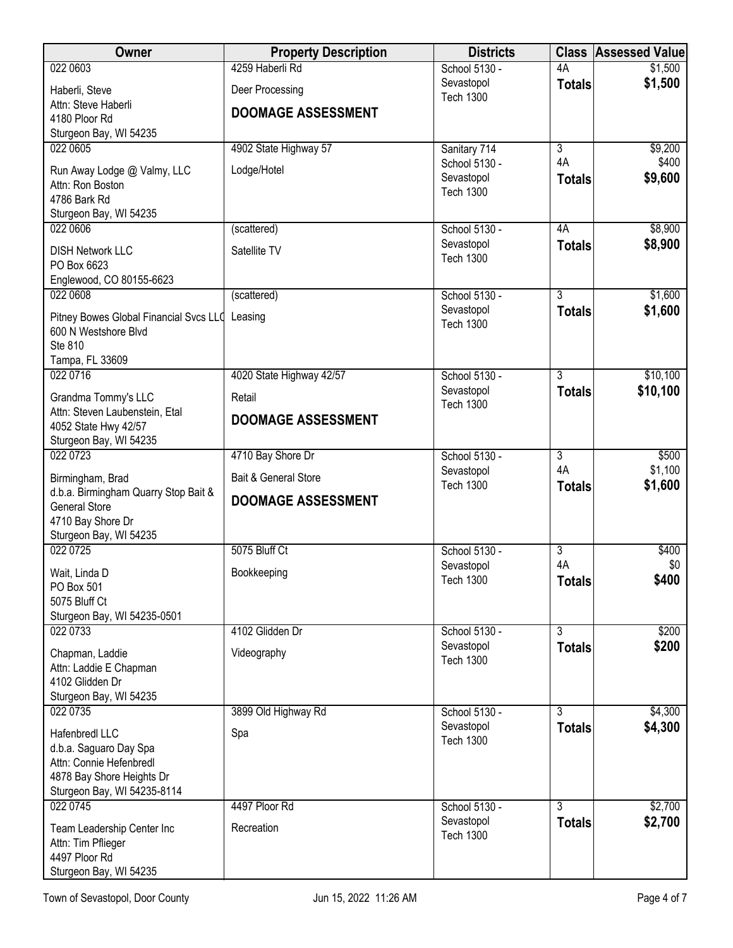| <b>Owner</b>                                           | <b>Property Description</b> | <b>Districts</b>               | <b>Class</b>        | <b>Assessed Value</b> |
|--------------------------------------------------------|-----------------------------|--------------------------------|---------------------|-----------------------|
| 022 0603                                               | 4259 Haberli Rd             | School 5130 -                  | 4A                  | \$1,500               |
| Haberli, Steve                                         | Deer Processing             | Sevastopol<br><b>Tech 1300</b> | <b>Totals</b>       | \$1,500               |
| Attn: Steve Haberli                                    | <b>DOOMAGE ASSESSMENT</b>   |                                |                     |                       |
| 4180 Ploor Rd<br>Sturgeon Bay, WI 54235                |                             |                                |                     |                       |
| 022 0605                                               | 4902 State Highway 57       | Sanitary 714                   | $\overline{3}$      | \$9,200               |
| Run Away Lodge @ Valmy, LLC                            | Lodge/Hotel                 | School 5130 -                  | 4A                  | \$400                 |
| Attn: Ron Boston                                       |                             | Sevastopol                     | <b>Totals</b>       | \$9,600               |
| 4786 Bark Rd                                           |                             | <b>Tech 1300</b>               |                     |                       |
| Sturgeon Bay, WI 54235                                 |                             |                                |                     |                       |
| 022 0606                                               | (scattered)                 | School 5130 -<br>Sevastopol    | 4A<br><b>Totals</b> | \$8,900<br>\$8,900    |
| <b>DISH Network LLC</b>                                | Satellite TV                | <b>Tech 1300</b>               |                     |                       |
| PO Box 6623<br>Englewood, CO 80155-6623                |                             |                                |                     |                       |
| 022 0608                                               | (scattered)                 | School 5130 -                  | $\overline{3}$      | \$1,600               |
| Pitney Bowes Global Financial Svcs LLC Leasing         |                             | Sevastopol                     | <b>Totals</b>       | \$1,600               |
| 600 N Westshore Blvd                                   |                             | <b>Tech 1300</b>               |                     |                       |
| Ste 810                                                |                             |                                |                     |                       |
| Tampa, FL 33609                                        |                             |                                |                     |                       |
| 022 0716                                               | 4020 State Highway 42/57    | School 5130 -<br>Sevastopol    | 3<br><b>Totals</b>  | \$10,100<br>\$10,100  |
| Grandma Tommy's LLC                                    | Retail                      | <b>Tech 1300</b>               |                     |                       |
| Attn: Steven Laubenstein, Etal<br>4052 State Hwy 42/57 | <b>DOOMAGE ASSESSMENT</b>   |                                |                     |                       |
| Sturgeon Bay, WI 54235                                 |                             |                                |                     |                       |
| 022 0723                                               | 4710 Bay Shore Dr           | School 5130 -                  | $\overline{3}$      | \$500                 |
| Birmingham, Brad                                       | Bait & General Store        | Sevastopol<br><b>Tech 1300</b> | 4A                  | \$1,100<br>\$1,600    |
| d.b.a. Birmingham Quarry Stop Bait &                   | <b>DOOMAGE ASSESSMENT</b>   |                                | <b>Totals</b>       |                       |
| <b>General Store</b><br>4710 Bay Shore Dr              |                             |                                |                     |                       |
| Sturgeon Bay, WI 54235                                 |                             |                                |                     |                       |
| 022 0725                                               | 5075 Bluff Ct               | School 5130 -                  | $\overline{3}$      | \$400                 |
| Wait, Linda D                                          | Bookkeeping                 | Sevastopol                     | 4A                  | \$0                   |
| PO Box 501                                             |                             | <b>Tech 1300</b>               | <b>Totals</b>       | \$400                 |
| 5075 Bluff Ct                                          |                             |                                |                     |                       |
| Sturgeon Bay, WI 54235-0501<br>022 0733                | 4102 Glidden Dr             | School 5130 -                  | $\overline{3}$      | \$200                 |
| Chapman, Laddie                                        | Videography                 | Sevastopol                     | <b>Totals</b>       | \$200                 |
| Attn: Laddie E Chapman                                 |                             | <b>Tech 1300</b>               |                     |                       |
| 4102 Glidden Dr                                        |                             |                                |                     |                       |
| Sturgeon Bay, WI 54235                                 |                             |                                |                     |                       |
| 022 0735                                               | 3899 Old Highway Rd         | School 5130 -<br>Sevastopol    | 3<br><b>Totals</b>  | \$4,300<br>\$4,300    |
| Hafenbredl LLC                                         | Spa                         | <b>Tech 1300</b>               |                     |                       |
| d.b.a. Saguaro Day Spa<br>Attn: Connie Hefenbredl      |                             |                                |                     |                       |
| 4878 Bay Shore Heights Dr                              |                             |                                |                     |                       |
| Sturgeon Bay, WI 54235-8114                            |                             |                                |                     |                       |
| 022 0745                                               | 4497 Ploor Rd               | School 5130 -                  | 3                   | \$2,700               |
| Team Leadership Center Inc                             | Recreation                  | Sevastopol<br><b>Tech 1300</b> | <b>Totals</b>       | \$2,700               |
| Attn: Tim Pflieger<br>4497 Ploor Rd                    |                             |                                |                     |                       |
| Sturgeon Bay, WI 54235                                 |                             |                                |                     |                       |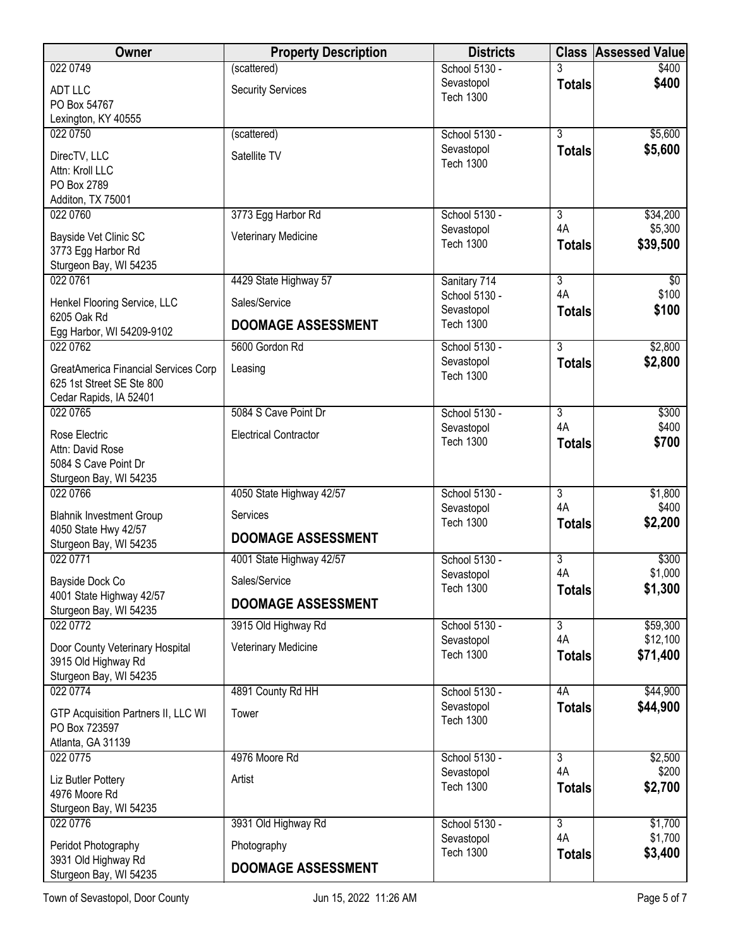| Owner                                         | <b>Property Description</b>  | <b>Districts</b>               | <b>Class</b>         | <b>Assessed Value</b> |
|-----------------------------------------------|------------------------------|--------------------------------|----------------------|-----------------------|
| 022 0749                                      | (scattered)                  | School 5130 -                  |                      | \$400                 |
| <b>ADT LLC</b>                                | <b>Security Services</b>     | Sevastopol                     | <b>Totals</b>        | \$400                 |
| PO Box 54767                                  |                              | <b>Tech 1300</b>               |                      |                       |
| Lexington, KY 40555                           |                              |                                |                      |                       |
| 022 0750                                      | (scattered)                  | School 5130 -                  | $\overline{3}$       | \$5,600               |
| DirecTV, LLC                                  | Satellite TV                 | Sevastopol<br><b>Tech 1300</b> | <b>Totals</b>        | \$5,600               |
| Attn: Kroll LLC                               |                              |                                |                      |                       |
| PO Box 2789                                   |                              |                                |                      |                       |
| Additon, TX 75001                             |                              |                                |                      |                       |
| 022 0760                                      | 3773 Egg Harbor Rd           | School 5130 -                  | 3<br>4A              | \$34,200<br>\$5,300   |
| Bayside Vet Clinic SC                         | Veterinary Medicine          | Sevastopol<br><b>Tech 1300</b> | <b>Totals</b>        | \$39,500              |
| 3773 Egg Harbor Rd                            |                              |                                |                      |                       |
| Sturgeon Bay, WI 54235                        |                              |                                |                      |                       |
| 022 0761                                      | 4429 State Highway 57        | Sanitary 714<br>School 5130 -  | $\overline{3}$<br>4A | \$0<br>\$100          |
| Henkel Flooring Service, LLC                  | Sales/Service                | Sevastopol                     | <b>Totals</b>        | \$100                 |
| 6205 Oak Rd                                   | <b>DOOMAGE ASSESSMENT</b>    | <b>Tech 1300</b>               |                      |                       |
| Egg Harbor, WI 54209-9102                     |                              |                                |                      |                       |
| 022 0762                                      | 5600 Gordon Rd               | School 5130 -                  | $\overline{3}$       | \$2,800               |
| GreatAmerica Financial Services Corp          | Leasing                      | Sevastopol<br><b>Tech 1300</b> | <b>Totals</b>        | \$2,800               |
| 625 1st Street SE Ste 800                     |                              |                                |                      |                       |
| Cedar Rapids, IA 52401                        |                              |                                |                      |                       |
| 022 0765                                      | 5084 S Cave Point Dr         | School 5130 -                  | $\overline{3}$<br>4A | \$300                 |
| Rose Electric                                 | <b>Electrical Contractor</b> | Sevastopol<br><b>Tech 1300</b> |                      | \$400<br>\$700        |
| Attn: David Rose                              |                              |                                | <b>Totals</b>        |                       |
| 5084 S Cave Point Dr                          |                              |                                |                      |                       |
| Sturgeon Bay, WI 54235<br>022 0766            | 4050 State Highway 42/57     | School 5130 -                  | $\overline{3}$       | \$1,800               |
|                                               |                              | Sevastopol                     | 4A                   | \$400                 |
| <b>Blahnik Investment Group</b>               | Services                     | <b>Tech 1300</b>               | <b>Totals</b>        | \$2,200               |
| 4050 State Hwy 42/57                          | <b>DOOMAGE ASSESSMENT</b>    |                                |                      |                       |
| Sturgeon Bay, WI 54235<br>022 0771            | 4001 State Highway 42/57     | School 5130 -                  | 3                    | \$300                 |
|                                               |                              | Sevastopol                     | 4A                   | \$1,000               |
| Bayside Dock Co                               | Sales/Service                | <b>Tech 1300</b>               | <b>Totals</b>        | \$1,300               |
| 4001 State Highway 42/57                      | <b>DOOMAGE ASSESSMENT</b>    |                                |                      |                       |
| Sturgeon Bay, WI 54235<br>022 0772            | 3915 Old Highway Rd          | School 5130 -                  | $\overline{3}$       | \$59,300              |
|                                               |                              | Sevastopol                     | 4A                   | \$12,100              |
| Door County Veterinary Hospital               | Veterinary Medicine          | <b>Tech 1300</b>               | <b>Totals</b>        | \$71,400              |
| 3915 Old Highway Rd                           |                              |                                |                      |                       |
| Sturgeon Bay, WI 54235<br>022 0774            | 4891 County Rd HH            | School 5130 -                  | 4A                   | \$44,900              |
|                                               |                              | Sevastopol                     | <b>Totals</b>        | \$44,900              |
| GTP Acquisition Partners II, LLC WI           | Tower                        | <b>Tech 1300</b>               |                      |                       |
| PO Box 723597<br>Atlanta, GA 31139            |                              |                                |                      |                       |
| 022 0775                                      | 4976 Moore Rd                | School 5130 -                  | $\overline{3}$       | \$2,500               |
|                                               |                              | Sevastopol                     | 4A                   | \$200                 |
| Liz Butler Pottery                            | Artist                       | <b>Tech 1300</b>               | <b>Totals</b>        | \$2,700               |
| 4976 Moore Rd<br>Sturgeon Bay, WI 54235       |                              |                                |                      |                       |
| 022 0776                                      | 3931 Old Highway Rd          | School 5130 -                  | $\overline{3}$       | \$1,700               |
|                                               |                              | Sevastopol                     | 4A                   | \$1,700               |
| Peridot Photography                           | Photography                  | <b>Tech 1300</b>               | <b>Totals</b>        | \$3,400               |
| 3931 Old Highway Rd<br>Sturgeon Bay, WI 54235 | <b>DOOMAGE ASSESSMENT</b>    |                                |                      |                       |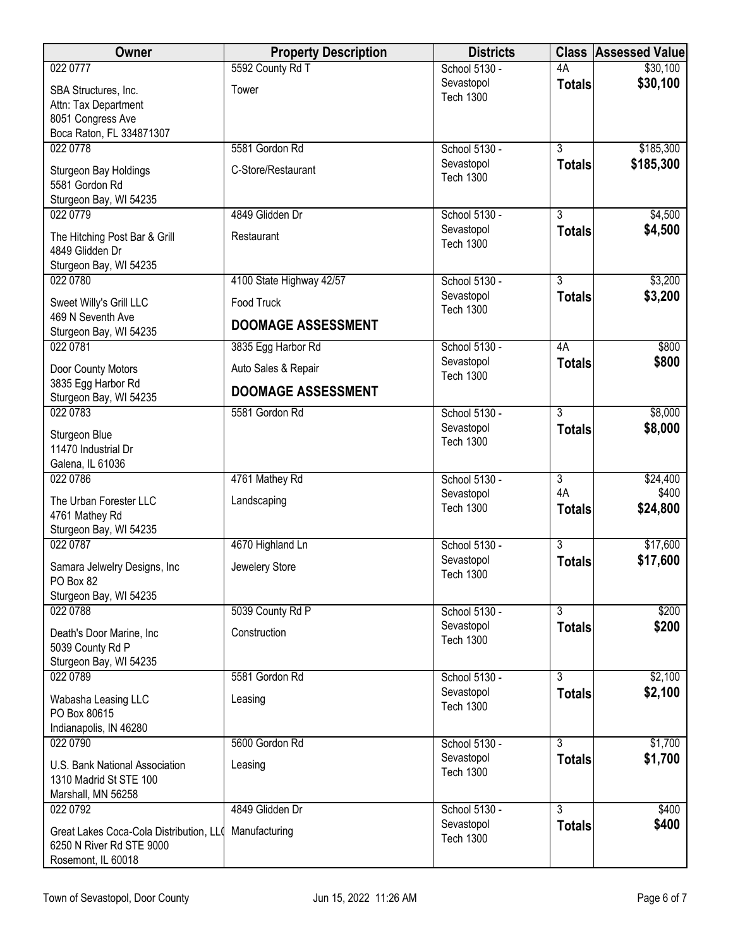| Owner                                                                                         | <b>Property Description</b> | <b>Districts</b>                                |                                 | <b>Class Assessed Value</b> |
|-----------------------------------------------------------------------------------------------|-----------------------------|-------------------------------------------------|---------------------------------|-----------------------------|
| 022 0777                                                                                      | 5592 County Rd T            | School 5130 -                                   | 4A                              | \$30,100                    |
| SBA Structures, Inc.<br>Attn: Tax Department<br>8051 Congress Ave<br>Boca Raton, FL 334871307 | Tower                       | Sevastopol<br><b>Tech 1300</b>                  | <b>Totals</b>                   | \$30,100                    |
| 022 0778                                                                                      | 5581 Gordon Rd              | School 5130 -                                   | $\overline{3}$                  | \$185,300                   |
| Sturgeon Bay Holdings<br>5581 Gordon Rd<br>Sturgeon Bay, WI 54235                             | C-Store/Restaurant          | Sevastopol<br><b>Tech 1300</b>                  | <b>Totals</b>                   | \$185,300                   |
| 022 0779                                                                                      | 4849 Glidden Dr             | School 5130 -                                   | $\overline{3}$                  | \$4,500                     |
| The Hitching Post Bar & Grill<br>4849 Glidden Dr<br>Sturgeon Bay, WI 54235                    | Restaurant                  | Sevastopol<br><b>Tech 1300</b>                  | <b>Totals</b>                   | \$4,500                     |
| 022 0780                                                                                      | 4100 State Highway 42/57    | School 5130 -                                   | $\overline{3}$                  | \$3,200                     |
| Sweet Willy's Grill LLC<br>469 N Seventh Ave                                                  | <b>Food Truck</b>           | Sevastopol<br><b>Tech 1300</b>                  | <b>Totals</b>                   | \$3,200                     |
| Sturgeon Bay, WI 54235                                                                        | <b>DOOMAGE ASSESSMENT</b>   |                                                 |                                 |                             |
| 022 0781                                                                                      | 3835 Egg Harbor Rd          | School 5130 -                                   | 4A                              | \$800                       |
| Door County Motors<br>3835 Egg Harbor Rd                                                      | Auto Sales & Repair         | Sevastopol<br><b>Tech 1300</b>                  | <b>Totals</b>                   | \$800                       |
| Sturgeon Bay, WI 54235                                                                        | <b>DOOMAGE ASSESSMENT</b>   |                                                 |                                 |                             |
| 022 0783<br>Sturgeon Blue<br>11470 Industrial Dr<br>Galena, IL 61036                          | 5581 Gordon Rd              | School 5130 -<br>Sevastopol<br><b>Tech 1300</b> | $\overline{3}$<br><b>Totals</b> | \$8,000<br>\$8,000          |
| 022 0786                                                                                      | 4761 Mathey Rd              | School 5130 -                                   | $\overline{3}$                  | \$24,400                    |
| The Urban Forester LLC<br>4761 Mathey Rd<br>Sturgeon Bay, WI 54235                            | Landscaping                 | Sevastopol<br><b>Tech 1300</b>                  | 4A<br><b>Totals</b>             | \$400<br>\$24,800           |
| 022 0787                                                                                      | 4670 Highland Ln            | School 5130 -                                   | $\overline{3}$                  | \$17,600                    |
| Samara Jelwelry Designs, Inc<br>PO Box 82<br>Sturgeon Bay, WI 54235                           | Jewelery Store              | Sevastopol<br><b>Tech 1300</b>                  | <b>Totals</b>                   | \$17,600                    |
| 022 0788                                                                                      | 5039 County Rd P            | School 5130 -                                   | $\overline{3}$                  | \$200                       |
| Death's Door Marine, Inc<br>5039 County Rd P<br>Sturgeon Bay, WI 54235                        | Construction                | Sevastopol<br><b>Tech 1300</b>                  | <b>Totals</b>                   | \$200                       |
| 022 0789                                                                                      | 5581 Gordon Rd              | School 5130 -                                   | $\overline{3}$                  | \$2,100                     |
| Wabasha Leasing LLC<br>PO Box 80615<br>Indianapolis, IN 46280                                 | Leasing                     | Sevastopol<br><b>Tech 1300</b>                  | <b>Totals</b>                   | \$2,100                     |
| 022 0790                                                                                      | 5600 Gordon Rd              | School 5130 -                                   | $\overline{3}$                  | \$1,700                     |
| U.S. Bank National Association<br>1310 Madrid St STE 100<br>Marshall, MN 56258                | Leasing                     | Sevastopol<br><b>Tech 1300</b>                  | <b>Totals</b>                   | \$1,700                     |
| 022 0792                                                                                      | 4849 Glidden Dr             | School 5130 -                                   | $\overline{3}$                  | \$400                       |
| Great Lakes Coca-Cola Distribution, LLO<br>6250 N River Rd STE 9000<br>Rosemont, IL 60018     | Manufacturing               | Sevastopol<br><b>Tech 1300</b>                  | <b>Totals</b>                   | \$400                       |